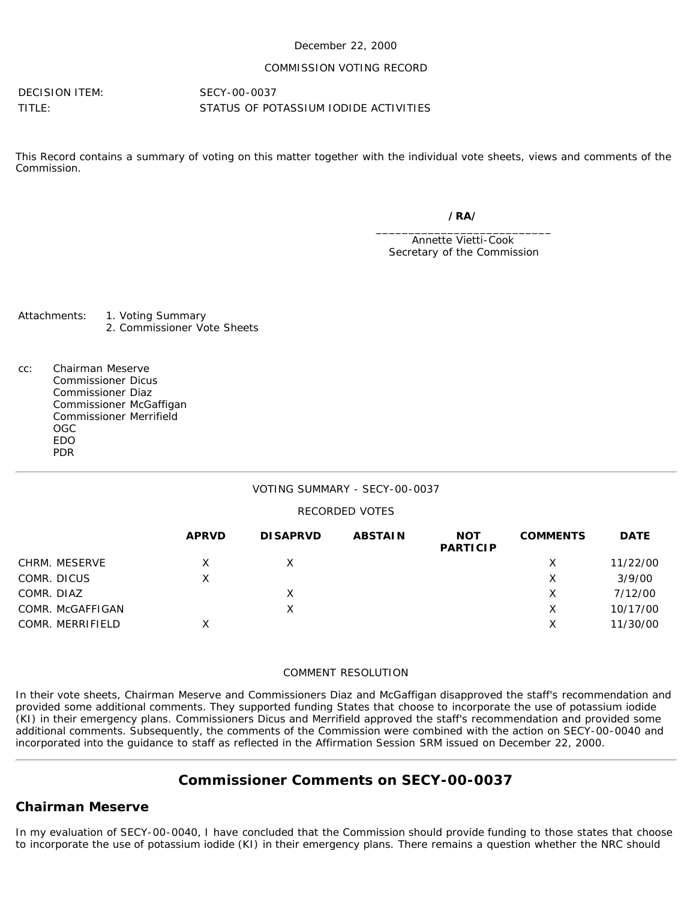### December 22, 2000

### COMMISSION VOTING RECORD

DECISION ITEM: SECY-00-0037

TITLE: STATUS OF POTASSIUM IODIDE ACTIVITIES

This Record contains a summary of voting on this matter together with the individual vote sheets, views and comments of the Commission.

> */RA/* \_\_\_\_\_\_\_\_\_\_\_\_\_\_\_\_\_\_\_\_\_\_\_\_\_\_\_

Annette Vietti-Cook Secretary of the Commission

Attachments: 1. Voting Summary 2. Commissioner Vote Sheets

cc: Chairman Meserve Commissioner Dicus Commissioner Diaz Commissioner McGaffigan Commissioner Merrifield OGC EDO PDR

### VOTING SUMMARY - SECY-00-0037

### RECORDED VOTES

|                  | <b>APRVD</b> | <b>DISAPRVD</b> | <b>ABSTAIN</b> | <b>NOT</b><br><b>PARTICIP</b> | <b>COMMENTS</b> | <b>DATE</b> |
|------------------|--------------|-----------------|----------------|-------------------------------|-----------------|-------------|
| CHRM. MESERVE    |              |                 |                |                               | X               | 11/22/00    |
| COMR. DICUS      | х            |                 |                |                               | х               | 3/9/00      |
| COMR. DIAZ       |              |                 |                |                               | х               | 7/12/00     |
| COMR. McGAFFIGAN |              |                 |                |                               | X               | 10/17/00    |
| COMR. MERRIFIELD | x            |                 |                |                               | Χ               | 11/30/00    |

#### COMMENT RESOLUTION

In their vote sheets, Chairman Meserve and Commissioners Diaz and McGaffigan disapproved the staff's recommendation and provided some additional comments. They supported funding States that choose to incorporate the use of potassium iodide (KI) in their emergency plans. Commissioners Dicus and Merrifield approved the staff's recommendation and provided some additional comments. Subsequently, the comments of the Commission were combined with the action on SECY-00-0040 and incorporated into the guidance to staff as reflected in the Affirmation Session SRM issued on December 22, 2000.

# **Commissioner Comments on SECY-00-0037**

## **Chairman Meserve**

In my evaluation of SECY-00-0040, I have concluded that the Commission should provide funding to those states that choose to incorporate the use of potassium iodide (KI) in their emergency plans. There remains a question whether the NRC should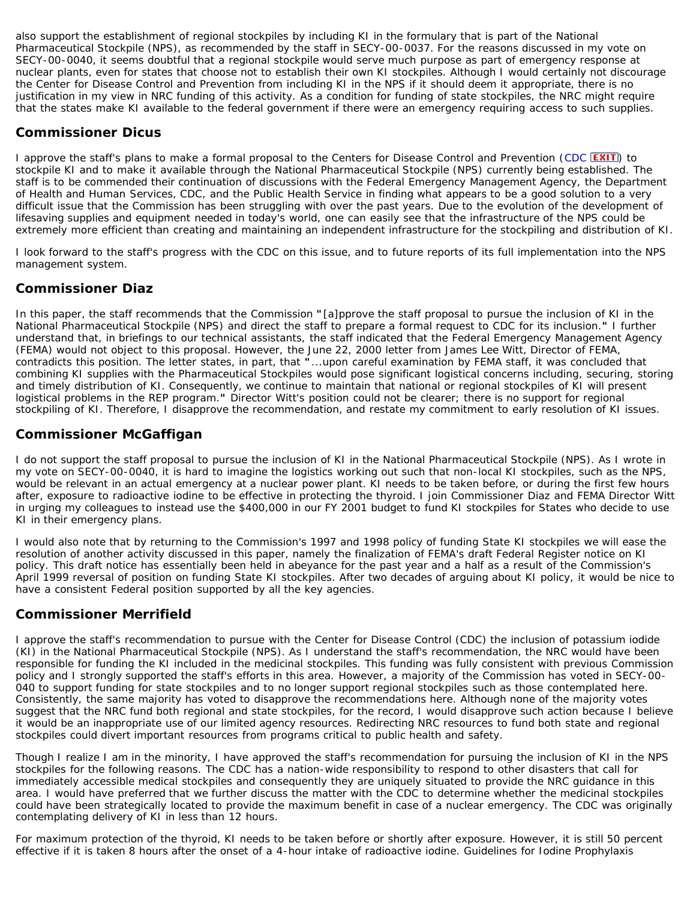also support the establishment of regional stockpiles by including KI in the formulary that is part of the National Pharmaceutical Stockpile (NPS), as recommended by the staff in SECY-00-0037. For the reasons discussed in my vote on SECY-00-0040, it seems doubtful that a regional stockpile would serve much purpose as part of emergency response at nuclear plants, even for states that choose not to establish their own KI stockpiles. Although I would certainly not discourage the Center for Disease Control and Prevention from including KI in the NPS if it should deem it appropriate, there is no justification in my view in NRC funding of this activity. As a condition for funding of state stockpiles, the NRC might require that the states make KI available to the federal government if there were an emergency requiring access to such supplies.

## **Commissioner Dicus**

I approve the staff's plans to make a formal proposal to the Centers for Disease Control and Prevention ([CDC](http://www.cdc.gov/) **EXIT**) to stockpile KI and to make it available through the National Pharmaceutical Stockpile (NPS) currently being established. The staff is to be commended their continuation of discussions with the Federal Emergency Management Agency, the Department of Health and Human Services, CDC, and the Public Health Service in finding what appears to be a good solution to a very difficult issue that the Commission has been struggling with over the past years. Due to the evolution of the development of lifesaving supplies and equipment needed in today's world, one can easily see that the infrastructure of the NPS could be extremely more efficient than creating and maintaining an independent infrastructure for the stockpiling and distribution of KI.

I look forward to the staff's progress with the CDC on this issue, and to future reports of its full implementation into the NPS management system.

## **Commissioner Diaz**

In this paper, the staff recommends that the Commission **"**[a]pprove the staff proposal to pursue the inclusion of KI in the National Pharmaceutical Stockpile (NPS) and direct the staff to prepare a formal request to CDC for its inclusion.**"** I further understand that, in briefings to our technical assistants, the staff indicated that the Federal Emergency Management Agency (FEMA) would not object to this proposal. However, the June 22, 2000 letter from James Lee Witt, Director of FEMA, contradicts this position. The letter states, in part, that **"**...upon careful examination by FEMA staff, it was concluded that combining KI supplies with the Pharmaceutical Stockpiles would pose significant logistical concerns including, securing, storing and timely distribution of KI. Consequently, we continue to maintain that national or regional stockpiles of KI will present logistical problems in the REP program.**"** Director Witt's position could not be clearer; there is no support for regional stockpiling of KI. Therefore, I disapprove the recommendation, and restate my commitment to early resolution of KI issues.

## **Commissioner McGaffigan**

I do not support the staff proposal to pursue the inclusion of KI in the National Pharmaceutical Stockpile (NPS). As I wrote in my vote on SECY-00-0040, it is hard to imagine the logistics working out such that non-local KI stockpiles, such as the NPS, would be relevant in an actual emergency at a nuclear power plant. KI needs to be taken before, or during the first few hours after, exposure to radioactive iodine to be effective in protecting the thyroid. I join Commissioner Diaz and FEMA Director Witt in urging my colleagues to instead use the \$400,000 in our FY 2001 budget to fund KI stockpiles for States who decide to use KI in their emergency plans.

I would also note that by returning to the Commission's 1997 and 1998 policy of funding State KI stockpiles we will ease the resolution of another activity discussed in this paper, namely the finalization of FEMA's draft Federal Register notice on KI policy. This draft notice has essentially been held in abeyance for the past year and a half as a result of the Commission's April 1999 reversal of position on funding State KI stockpiles. After two decades of arguing about KI policy, it would be nice to have a consistent Federal position supported by all the key agencies.

## **Commissioner Merrifield**

I approve the staff's recommendation to pursue with the Center for Disease Control (CDC) the inclusion of potassium iodide (KI) in the National Pharmaceutical Stockpile (NPS). As I understand the staff's recommendation, the NRC would have been responsible for funding the KI included in the medicinal stockpiles. This funding was fully consistent with previous Commission policy and I strongly supported the staff's efforts in this area. However, a majority of the Commission has voted in SECY-00- 040 to support funding for state stockpiles and to no longer support regional stockpiles such as those contemplated here. Consistently, the same majority has voted to disapprove the recommendations here. Although none of the majority votes suggest that the NRC fund both regional and state stockpiles, for the record, I would disapprove such action because I believe it would be an inappropriate use of our limited agency resources. Redirecting NRC resources to fund both state and regional stockpiles could divert important resources from programs critical to public health and safety.

Though I realize I am in the minority, I have approved the staff's recommendation for pursuing the inclusion of KI in the NPS stockpiles for the following reasons. The CDC has a nation-wide responsibility to respond to other disasters that call for immediately accessible medical stockpiles and consequently they are uniquely situated to provide the NRC guidance in this area. I would have preferred that we further discuss the matter with the CDC to determine whether the medicinal stockpiles could have been strategically located to provide the maximum benefit in case of a nuclear emergency. The CDC was originally contemplating delivery of KI in less than 12 hours.

For maximum protection of the thyroid, KI needs to be taken before or shortly after exposure. However, it is still 50 percent effective if it is taken 8 hours after the onset of a 4-hour intake of radioactive iodine. Guidelines for Iodine Prophylaxis